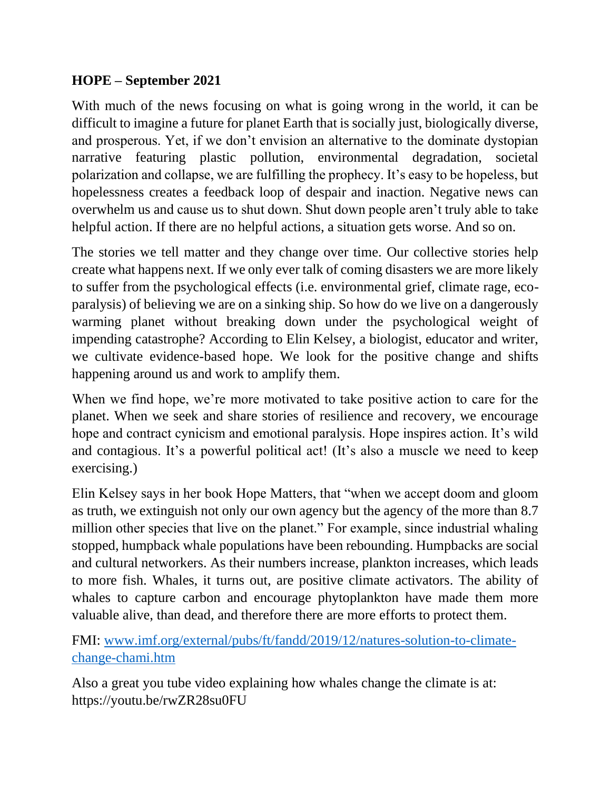## **HOPE – September 2021**

With much of the news focusing on what is going wrong in the world, it can be difficult to imagine a future for planet Earth that is socially just, biologically diverse, and prosperous. Yet, if we don't envision an alternative to the dominate dystopian narrative featuring plastic pollution, environmental degradation, societal polarization and collapse, we are fulfilling the prophecy. It's easy to be hopeless, but hopelessness creates a feedback loop of despair and inaction. Negative news can overwhelm us and cause us to shut down. Shut down people aren't truly able to take helpful action. If there are no helpful actions, a situation gets worse. And so on.

The stories we tell matter and they change over time. Our collective stories help create what happens next. If we only ever talk of coming disasters we are more likely to suffer from the psychological effects (i.e. environmental grief, climate rage, ecoparalysis) of believing we are on a sinking ship. So how do we live on a dangerously warming planet without breaking down under the psychological weight of impending catastrophe? According to Elin Kelsey, a biologist, educator and writer, we cultivate evidence-based hope. We look for the positive change and shifts happening around us and work to amplify them.

When we find hope, we're more motivated to take positive action to care for the planet. When we seek and share stories of resilience and recovery, we encourage hope and contract cynicism and emotional paralysis. Hope inspires action. It's wild and contagious. It's a powerful political act! (It's also a muscle we need to keep exercising.)

Elin Kelsey says in her book Hope Matters, that "when we accept doom and gloom as truth, we extinguish not only our own agency but the agency of the more than 8.7 million other species that live on the planet." For example, since industrial whaling stopped, humpback whale populations have been rebounding. Humpbacks are social and cultural networkers. As their numbers increase, plankton increases, which leads to more fish. Whales, it turns out, are positive climate activators. The ability of whales to capture carbon and encourage phytoplankton have made them more valuable alive, than dead, and therefore there are more efforts to protect them.

FMI: [www.imf.org/external/pubs/ft/fandd/2019/12/natures-solution-to-climate](http://www.imf.org/external/pubs/ft/fandd/2019/12/natures-solution-to-climate-change-chami.htm)[change-chami.htm](http://www.imf.org/external/pubs/ft/fandd/2019/12/natures-solution-to-climate-change-chami.htm)

Also a great you tube video explaining how whales change the climate is at: https://youtu.be/rwZR28su0FU